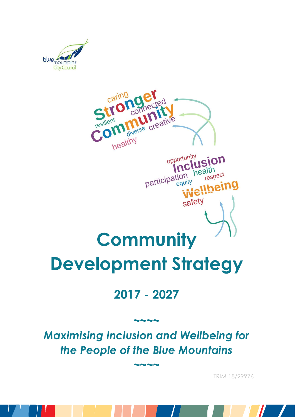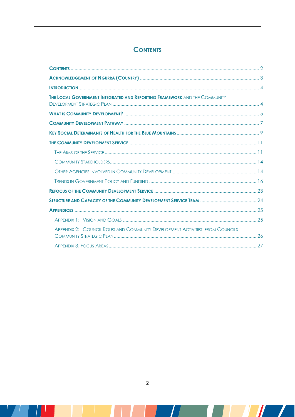# **CONTENTS**

| <b>THE LOCAL GOVERNMENT INTEGRATED AND REPORTING FRAMEWORK AND THE COMMUNITY</b> |  |
|----------------------------------------------------------------------------------|--|
|                                                                                  |  |
|                                                                                  |  |
|                                                                                  |  |
|                                                                                  |  |
|                                                                                  |  |
|                                                                                  |  |
|                                                                                  |  |
|                                                                                  |  |
|                                                                                  |  |
|                                                                                  |  |
|                                                                                  |  |
|                                                                                  |  |
| APPENDIX 2: COUNCIL ROLES AND COMMUNITY DEVELOPMENT ACTIVITIES: FROM COUNCILS    |  |
|                                                                                  |  |

 $\mathbf{I}$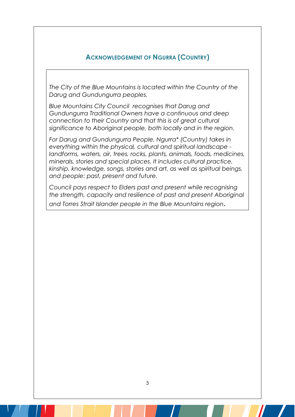## **ACKNOWLEDGEMENT OF NGURRA (COUNTRY)**

*The City of the Blue Mountains is located within the Country of the Darug and Gundungurra peoples.* 

*Blue Mountains City Council recognises that Darug and Gundungurra Traditional Owners have a continuous and deep connection to their Country and that this is of great cultural significance to Aboriginal people, both locally and in the region.* 

*For Darug and Gundungurra People, Ngurra\* (Country) takes in everything within the physical, cultural and spiritual landscape landforms, waters, air, trees, rocks, plants, animals, foods, medicines, minerals, stories and special places. It includes cultural practice, kinship, knowledge, songs, stories and art, as well as spiritual beings, and people: past, present and future.* 

*Council pays respect to Elders past and present while recognising the strength, capacity and resilience of past and present Aboriginal and Torres Strait Islander people in the Blue Mountains region.*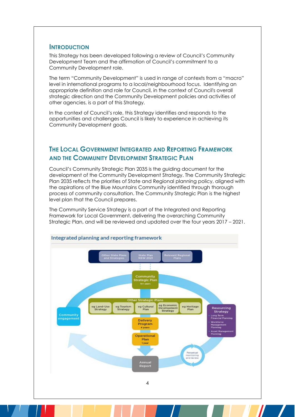#### **INTRODUCTION**

This Strategy has been developed following a review of Council's Community Development Team and the affirmation of Council's commitment to a Community Development role.

The term "Community Development" is used in range of contexts from a "macro" level in international programs to a local/neighbourhood focus. Identifying an appropriate definition and role for Council, in the context of Council's overall strategic direction and the Community Development policies and activities of other agencies, is a part of this Strategy.

In the context of Council's role, this Strategy identifies and responds to the opportunities and challenges Council is likely to experience in achieving its Community Development goals.

## **THE LOCAL GOVERNMENT INTEGRATED AND REPORTING FRAMEWORK AND THE COMMUNITY DEVELOPMENT STRATEGIC PLAN**

Council's Community Strategic Plan 2035 is the guiding document for the development of the Community Development Strategy. The Community Strategic Plan 2035 reflects the priorities of State and Regional planning policy, aligned with the aspirations of the Blue Mountains Community identified through thorough process of community consultation. The Community Strategic Plan is the highest level plan that the Council prepares.

The Community Service Strategy is a part of the Integrated and Reporting Framework for Local Government, delivering the overarching Community Strategic Plan, and will be reviewed and updated over the four years 2017 – 2021.

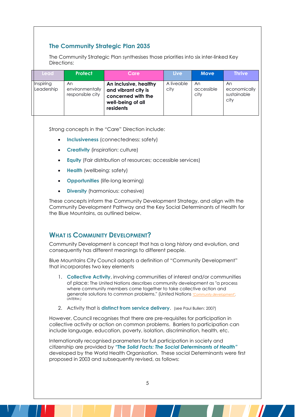## **The Community Strategic Plan 2035**

The Community Strategic Plan synthesises those priorities into six inter-linked Key Directions:

| Lead/                   | <b>Protect</b>                            | Care                                                                                                 | <b>Live</b>        | <b>Move</b>              | <b>Thrive</b>                             |
|-------------------------|-------------------------------------------|------------------------------------------------------------------------------------------------------|--------------------|--------------------------|-------------------------------------------|
| Inspiring<br>Leadership | An<br>environmentally<br>responsible city | An inclusive, healthy<br>and vibrant city is<br>concerned with the<br>well-being of all<br>residents | A liveable<br>city | An<br>accessible<br>city | An<br>economically<br>sustainable<br>city |

Strong concepts in the "Care" Direction include:

- **Inclusiveness** (connectedness: safety)
- **Creativity** (inspiration: culture)
- **Equity** (Fair distribution of resources; accessible services)
- **Health** (wellbeing: safety)
- **Opportunities** (life-long learning)
- **Diversity** (harmonious: cohesive)

These concepts inform the Community Development Strategy, and align with the Community Development Pathway and the Key Social Determinants of Health for the Blue Mountains, as outlined below.

## **WHAT IS COMMUNITY DEVELOPMENT?**

Community Development is concept that has a long history and evolution, and consequently has different meanings to different people.

Blue Mountains City Council adopts a definition of "Community Development" that incorporates two key elements

- 1. **Collective Activity**, involving communities of interest and/or communities of place: The United Nations describes community development as "a process where community members come together to take collective action and generate solutions to common problems." (United Nations *"Community development*") *UNTERM.)*
- 2. Activity that is **distinct from service delivery**. (see Paul Bullen: 2007)

However, Council recognises that there are pre-requisites for participation in collective activity or action on common problems. Barriers to participation can include language, education, poverty, isolation, discrimination, health, etc.

Internationally recognised parameters for full participation in society and citizenship are provided by *"The Solid Facts: The Social Determinants of Health"* developed by the World Health Organisation. These social Determinants were first proposed in 2003 and subsequently revised, as follows: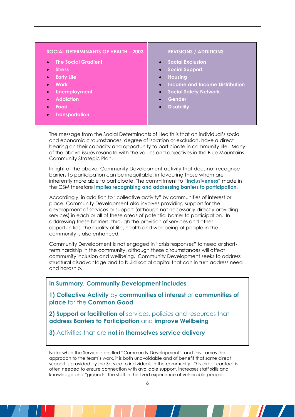#### **SOCIAL DETERMINANTS OF HEALTH - 2003 REVISIONS / ADDITIONS**

- **[The Social Gradient](https://en.wikipedia.org/wiki/Stress)**
- **[Stress](https://en.wikipedia.org/wiki/Stress)**
- **[Early Life](https://en.wikipedia.org/w/index.php?title=Early_Life&action=edit&redlink=1)**
- **[Work](https://en.wikipedia.org/wiki/Work)**
- **[Unemployment](https://en.wikipedia.org/wiki/Unemployment)**
- **[Addiction](https://en.wikipedia.org/wiki/Addiction)**
- **[Food](https://en.wikipedia.org/wiki/Food)**
- **[Transportation](https://en.wikipedia.org/wiki/Transportation)**

- **[Social Exclusion](https://en.wikipedia.org/wiki/Social_exclusion)**
- **[Social Support](https://en.wikipedia.org/wiki/Social_support)**
- **Housing**
- **Income and Income Distribution**
- **Social Safety Network**
- **Gender**
- **Disability**

The message from the Social Determinants of Health is that an individual's social and economic circumstances, degree of isolation or exclusion, have a direct bearing on their capacity and opportunity to participate in community life. Many of the above issues resonate with the values and objectives in the Blue Mountains Community Strategic Plan.

In light of the above, Community Development activity that does not recognise barriers to participation can be inequitable, in favouring those whom are inherently more able to participate. The commitment to **"inclusiveness"** made in the CSM therefore **implies recognising and addressing barriers to participation.**

Accordingly, in addition to "collective activity" by communities of interest or place, Community Development also involves providing support for the development of services or support (although not necessarily directly providing services) in each or all of these areas of potential barrier to participation. In addressing these barriers, through the provision of services and other opportunities, the quality of life, health and well-being of people in the community is also enhanced.

Community Development is not engaged in "crisis responses" to need or shortterm hardship in the community, although these circumstances will affect community inclusion and wellbeing. Community Development seeks to address structural disadvantage and to build social capital that can in turn address need and hardship.

**In Summary, Community Development includes**

**1) Collective Activity** by **communities of interest** or **communities of place** for the **Common Good**

**2) Support or facilitation of** services, policies and resources that **address Barriers to Participation** and **improve Wellbeing** 

**3)** Activities that are **not in themselves service delivery**

Note: while the Service is entitled "Community Development", and this frames the approach to the team's work, it is both unavoidable and of benefit that some direct support is provided by the Service to individuals in the community. This direct contact is often needed to ensure connection with available support, increases staff skills and knowledge and "grounds" the staff in the lived experience of vulnerable people.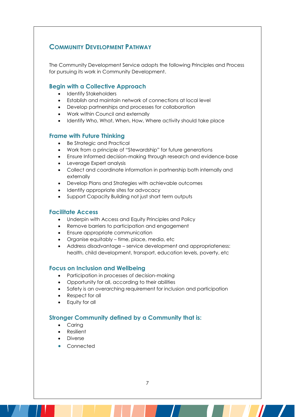## **COMMUNITY DEVELOPMENT PATHWAY**

The Community Development Service adopts the following Principles and Process for pursuing its work in Community Development.

#### **Begin with a Collective Approach**

- Identify Stakeholders
- Establish and maintain network of connections at local level
- Develop partnerships and processes for collaboration
- Work within Council and externally
- Identify Who, What, When, How, Where activity should take place

#### **Frame with Future Thinking**

- Be Strategic and Practical
- Work from a principle of "Stewardship" for future generations
- Ensure Informed decision-making through research and evidence-base
- Leverage Expert analysis
- Collect and coordinate information in partnership both internally and externally
- Develop Plans and Strategies with achievable outcomes
- Identify appropriate sites for advocacy
- Support Capacity Building not just short term outputs

#### **Facilitate Access**

- Underpin with Access and Equity Principles and Policy
- Remove barriers to participation and engagement
- Ensure appropriate communication
- Organise equitably time, place, media, etc
- Address disadvantage service development and appropriateness: health, child development, transport, education levels, poverty, etc

#### **Focus on Inclusion and Wellbeing**

- Participation in processes of decision-making
- Opportunity for all, according to their abilities
- Safety is an overarching requirement for inclusion and participation
- Respect for all
- Equity for all

### **Stronger Community defined by a Community that is:**

- Caring
- Resilient
- Diverse
- Connected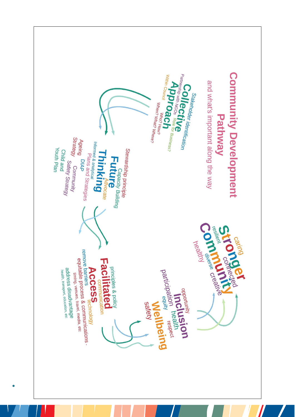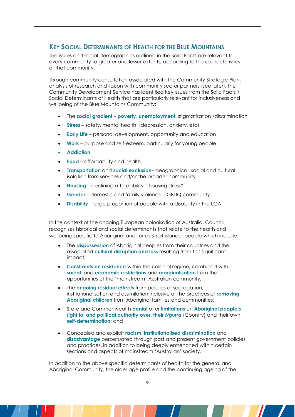## **KEY SOCIAL DETERMINANTS OF HEALTH FOR THE BLUE MOUNTAINS**

The issues and social demographics outlined in the Solid Facts are relevant to every community to greater and lesser extents, according to the characteristics of that community.

Through community consultation associated with the Community Strategic Plan, analysis of research and liaison with community sector partners (see later), the Community Development Service has identified key issues from the Solid Facts / Social Determinants of Health that are particularly relevant for inclusiveness and wellbeing of the Blue Mountains Community:

- The **social gradient poverty**, **unemployment**, stigmatisation /discrimination
- **Stress** safety, mental health, (depression, anxiety, etc)
- **Early Life** personal development, opportunity and education
- **Work** purpose and self-esteem, particularly for young people
- **Addiction**
- **Food** affordability and health
- **Transportation** and **social exclusion** geographical, social and cultural isolation from services and/or the broader community
- **Housing** declining affordability, "housing stress"
- **Gender** domestic and family violence, LGBTIQ community
- **Disability** large proportion of people with a disability in the LGA

In the context of the ongoing European colonisation of Australia, Council recognises historical and social determinants that relate to the health and wellbeing specific to Aboriginal and Torres Strait islander people which include:

- The **dispossession** of Aboriginal peoples from their countries and the associated **cultural disruption and loss** resulting from this significant impact;
- **Constraints on residence** within the colonial regime, combined with **social** and **economic restrictions** and **marginalisation** from the opportunities of the 'mainstream' Australian community;
- The **ongoing residual effects** from policies of segregation, institutionalisation and assimilation inclusive of the practices of **removing Aboriginal children** from Aboriginal families and communities;
- State and Commonwealth **denial** of or **limitations** on **Aboriginal people's right to, and political authority over, their** *Ngurra* (Country) and their own **self-determination**; and
- Concealed and explicit **racism**, **institutionalised discrimination** and **disadvantage** perpetuated through past and present government policies and practices, in addition to being deeply entrenched within certain sections and aspects of mainstream 'Australian' society.

In addition to the above specific determinants of health for the general and Aboriginal Community, the older age profile and the continuing ageing of the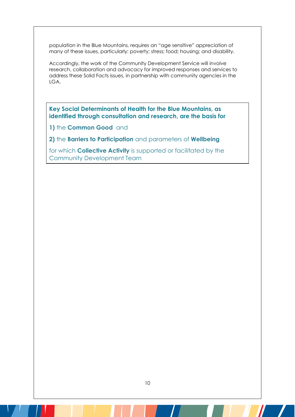population in the Blue Mountains, requires an "age sensitive" appreciation of many of these issues, particularly: poverty; stress; food; housing; and disability.

Accordingly, the work of the Community Development Service will involve research, collaboration and advocacy for improved responses and services to address these Solid Facts issues, in partnership with community agencies in the LGA.

**Key Social Determinants of Health for the Blue Mountains, as identified through consultation and research, are the basis for** 

**1)** the **Common Good** and

**2)** the **Barriers to Participation** and parameters of **Wellbeing** 

for which **Collective Activity** is supported or facilitated by the Community Development Team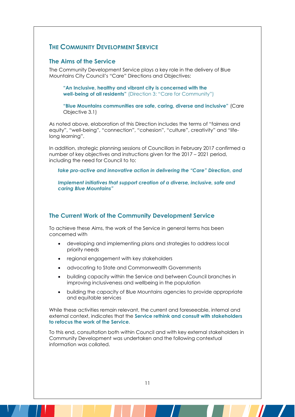## **THE COMMUNITY DEVELOPMENT SERVICE**

#### **The Aims of the Service**

The Community Development Service plays a key role in the delivery of Blue Mountains City Council's "Care" Directions and Objectives:

**"An Inclusive, healthy and vibrant city is concerned with the well-being of all residents"** (Direction 3: "Care for Community")

**"Blue Mountains communities are safe, caring, diverse and inclusive"** (Care Objective 3.1)

As noted above, elaboration of this Direction includes the terms of "fairness and equity", "well-being", "connection", "cohesion", "culture", creativity" and "lifelong learning".

In addition, strategic planning sessions of Councillors in February 2017 confirmed a number of key objectives and instructions given for the 2017 – 2021 period, including the need for Council to to:

*take pro-active and innovative action in delivering the "Care" Direction, and* 

*Implement initiatives that support creation of a diverse, inclusive, safe and caring Blue Mountains"*

#### **The Current Work of the Community Development Service**

To achieve these Aims, the work of the Service in general terms has been concerned with

- developing and implementing plans and strategies to address local priority needs
- regional engagement with key stakeholders
- advocating to State and Commonwealth Governments
- building capacity within the Service and between Council branches in improving inclusiveness and wellbeing in the population
- building the capacity of Blue Mountains agencies to provide appropriate and equitable services

While these activities remain relevant, the current and foreseeable, internal and external context, indicates that the **Service rethink and consult with stakeholders to refocus the work of the Service.**

To this end, consultation both within Council and with key external stakeholders in Community Development was undertaken and the following contextual information was collated.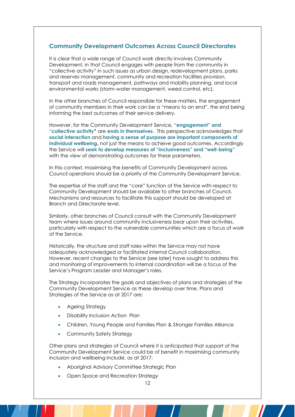#### **Community Development Outcomes Across Council Directorates**

It is clear that a wide range of Council work directly involves Community Development, in that Council engages with people from the community in "collective activity" in such issues as urban design, redevelopment plans, parks and reserves management, community and recreation facilities provision, transport and roads management, pathways and mobility planning, and local environmental works (storm-water management, weed control, etc).

In the other branches of Council responsible for these matters, the engagement of community members in their work can be a "means to an end", the end being informing the best outcomes of their service delivery.

However, for the Community Development Service**, "engagement" and "collective activity"** are **ends in themselves**. This perspective acknowledges that **social interaction** and **having a sense of purpose are important components of individual wellbeing,** not just the means to achieve good outcomes. Accordingly the Service will **seek to develop measures of "inclusiveness" and "well-being"** with the view of demonstrating outcomes for these parameters.

In this context, maximising the benefits of Community Development across Council operations should be a priority of the Community Development Service.

The expertise of the staff and the "core" function of the Service with respect to Community Development should be available to other branches of Council. Mechanisms and resources to facilitate this support should be developed at Branch and Directorate level.

Similarly, other branches of Council consult with the Community Development team where issues around community inclusiveness bear upon their activities, particularly with respect to the vulnerable communities which are a focus of work of the Service.

Historically, the structure and staff roles within the Service may not have adequately acknowledged or facilitated internal Council collaboration. However, recent changes to the Service (see later) have sought to address this and monitoring of improvements to internal coordination will be a focus of the Service's Program Leader and Manager's roles.

The Strategy incorporates the goals and objectives of plans and strategies of the Community Development Service as these develop over time. Plans and Strategies of the Service as at 2017 are:

- Ageing Strategy
- Disability Inclusion Action Plan
- Children, Young People and Families Plan & Stronger Families Alliance
- Community Safety Strategy

Other plans and strategies of Council where it is anticipated that support of the Community Development Service could be of benefit in maximising community inclusion and wellbeing include, as at 2017:

- Aboriginal Advisory Committee Strategic Plan
- Open Space and Recreation Strategy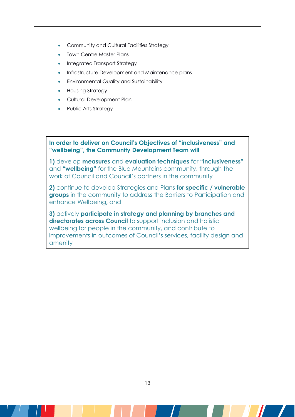- Community and Cultural Facilities Strategy
- Town Centre Master Plans
- Integrated Transport Strategy
- Infrastructure Development and Maintenance plans
- Environmental Quality and Sustainability
- Housing Strategy
- Cultural Development Plan
- Public Arts Strategy

**In order to deliver on Council's Objectives of "inclusiveness" and "wellbeing", the Community Development Team will** 

**1)** develop **measures** and **evaluation techniques** for **"inclusiveness"**  and **"wellbeing"** for the Blue Mountains community, through the work of Council and Council's partners in the community

**2)** continue to develop Strategies and Plans **for specific / vulnerable groups** in the community to address the Barriers to Participation and enhance Wellbeing**,** and

**3)** actively **participate in strategy and planning by branches and directorates across Council** to support inclusion and holistic wellbeing for people in the community, and contribute to improvements in outcomes of Council's services, facility design and amenity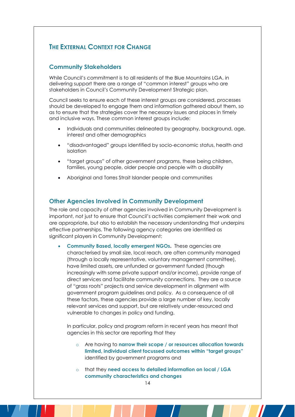## **THE EXTERNAL CONTEXT FOR CHANGE**

### **Community Stakeholders**

While Council's commitment is to all residents of the Blue Mountains LGA, in delivering support there are a range of "common interest" groups who are stakeholders in Council's Community Development Strategic plan.

Council seeks to ensure each of these interest groups are considered, processes should be developed to engage them and information gathered about them, so as to ensure that the strategies cover the necessary issues and places in timely and inclusive ways. These common interest groups include:

- Individuals and communities delineated by geography, background, age, interest and other demographics
- "disadvantaged" groups identified by socio-economic status, health and isolation
- "target groups" of other government programs, these being children, families, young people, older people and people with a disability
- Aboriginal and Torres Strait Islander people and communities

#### **Other Agencies Involved in Community Development**

The role and capacity of other agencies involved in Community Development is important, not just to ensure that Council's activities complement their work and are appropriate, but also to establish the necessary understanding that underpins effective partnerships. The following agency categories are identified as significant players in Community Development:

 **Community Based, locally emergent NGOs.** These agencies are characterised by small size, local reach, are often community managed (through a locally representative, voluntary management committee), have limited assets, are unfunded or government funded (though increasingly with some private support and/or income), provide range of direct services and facilitate community connections. They are a source of "grass roots" projects and service development in alignment with government program guidelines and policy. As a consequence of all these factors, these agencies provide a large number of key, locally relevant services and support, but are relatively under-resourced and vulnerable to changes in policy and funding.

In particular, policy and program reform in recent years has meant that agencies in this sector are reporting that they

- o Are having to **narrow their scope / or resources allocation towards limited, individual client focussed outcomes within "target groups"**  identified by government programs and
- o that they **need access to detailed information on local / LGA community characteristics and changes**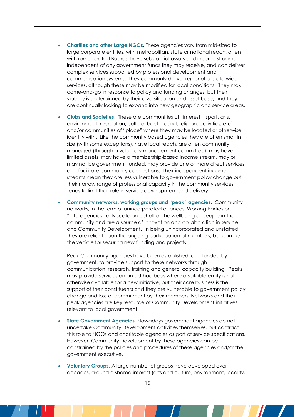- **Charities and other Large NGOs.** These agencies vary from mid-sized to large corporate entities, with metropolitan, state or national reach, often with remunerated Boards, have substantial assets and income streams independent of any government funds they may receive, and can deliver complex services supported by professional development and communication systems. They commonly deliver regional or state wide services, although these may be modified for local conditions. They may come-and-go in response to policy and funding changes, but their viability is underpinned by their diversification and asset base, and they are continually looking to expand into new geographic and service areas.
- **Clubs and Societies**. These are communities of "interest" (sport, arts, environment, recreation, cultural background, religion, activities, etc) and/or communities of "place" where they may be located or otherwise identify with. Like the community based agencies they are often small in size (with some exceptions), have local reach, are often community managed (through a voluntary management committee), may have limited assets, may have a membership-based income stream, may or may not be government funded, may provide one or more direct services and facilitate community connections. Their independent income streams mean they are less vulnerable to government policy change but their narrow range of professional capacity in the community services tends to limit their role in service development and delivery.
- **Community networks, working groups and "peak" agencies**. Community networks, in the form of unincorporated alliances, Working Parties or "Interagencies" advocate on behalf of the wellbeing of people in the community and are a source of innovation and collaboration in service and Community Development. In being unincorporated and unstaffed, they are reliant upon the ongoing participation of members, but can be the vehicle for securing new funding and projects.

Peak Community agencies have been established, and funded by government, to provide support to these networks through communication, research, training and general capacity building. Peaks may provide services on an ad-hoc basis where a suitable entity is not otherwise available for a new initiative, but their core business is the support of their constituents and they are vulnerable to government policy change and loss of commitment by their members. Networks and their peak agencies are key resource of Community Development initiatives relevant to local government.

- **State Government Agencies.** Nowadays government agencies do not undertake Community Development activities themselves, but contract this role to NGOs and charitable agencies as part of service specifications. However, Community Development by these agencies can be constrained by the policies and procedures of these agencies and/or the government executive.
- **Voluntary Groups.** A large number of groups have developed over decades, around a shared interest (arts and culture, environment, locality,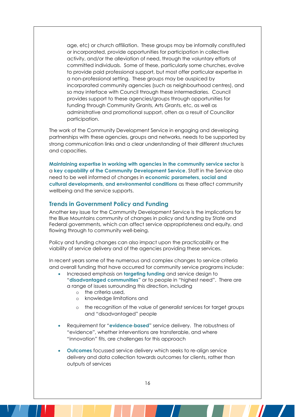age, etc) or church affiliation. These groups may be informally constituted or incorporated, provide opportunities for participation in collective activity, and/or the alleviation of need, through the voluntary efforts of committed individuals. Some of these, particularly some churches, evolve to provide paid professional support, but most offer particular expertise in a non-professional setting. These groups may be auspiced by incorporated community agencies (such as neighbourhood centres), and so may interface with Council through these intermediaries. Council provides support to these agencies/groups through opportunities for funding through Community Grants, Arts Grants, etc, as well as administrative and promotional support, often as a result of Councillor participation.

The work of the Community Development Service in engaging and developing partnerships with these agencies, groups and networks, needs to be supported by strong communication links and a clear understanding of their different structures and capacities.

**Maintaining expertise in working with agencies in the community service sector** is a **key capability of the Community Development Service**. Staff in the Service also need to be well informed of changes in **economic parameters, social and cultural developments, and environmental conditions** as these affect community wellbeing and the service supports.

#### **Trends in Government Policy and Funding**

Another key issue for the Community Development Service is the implications for the Blue Mountains community of changes in policy and funding by State and Federal governments, which can affect service appropriateness and equity, and flowing through to community well-being.

Policy and funding changes can also impact upon the practicability or the viability of service delivery and of the agencies providing these services.

In recent years some of the numerous and complex changes to service criteria and overall funding that have occurred for community service programs include:

- Increased emphasis on **targeting funding** and service design to "**disadvantaged communities**" or to people in "highest need". There are a range of issues surrounding this direction, including
	- o the criteria used,
	- o knowledge limitations and
	- o the recognition of the value of generalist services for target groups and "disadvantaged" people
- Requirement for "**evidence**-**based**" service delivery. The robustness of "evidence", whether interventions are transferable, and where "innovation" fits, are challenges for this approach
- **Outcomes** focussed service delivery which seeks to re-align service delivery and data collection towards outcomes for clients, rather than outputs of services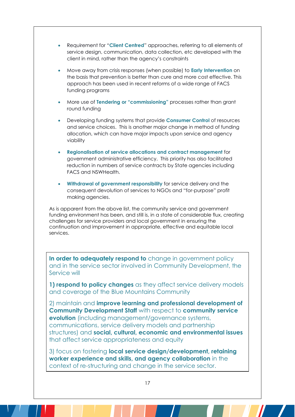- Requirement for "**Client Centred**" approaches, referring to all elements of service design, communication, data collection, etc developed with the client in mind, rather than the agency's constraints
- Move away from crisis responses (when possible) to **Early Intervention** on the basis that prevention is better than cure and more cost effective. This approach has been used in recent reforms of a wide range of FACS funding programs
- More use of **Tendering or "commissioning"** processes rather than grant round funding
- Developing funding systems that provide **Consumer Control** of resources and service choices. This is another major change in method of funding allocation, which can have major impacts upon service and agency viability
- **Regionalisation of service allocations and contract management** for government administrative efficiency. This priority has also facilitated reduction in numbers of service contracts by State agencies including FACS and NSWHealth.
- **Withdrawal of government responsibility** for service delivery and the consequent devolution of services to NGOs and "for-purpose" profit making agencies.

As is apparent from the above list, the community service and government funding environment has been, and still is, in a state of considerable flux, creating challenges for service providers and local government in ensuring the continuation and improvement in appropriate, effective and equitable local services.

**In order to adequately respond to** change in government policy and in the service sector involved in Community Development, the Service will

**1) respond to policy changes** as they affect service delivery models and coverage of the Blue Mountains Community

2) maintain and **improve learning and professional development of Community Development Staff** with respect to **community service evolution** (including management/governance systems, communications, service delivery models and partnership structures) and **social, cultural, economic and environmental issues**  that affect service appropriateness and equity

3) focus on fostering **local service design/development, retaining worker experience and skills, and agency collaboration** in the context of re-structuring and change in the service sector.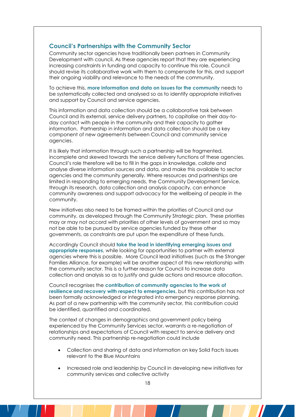#### **Council's Partnerships with the Community Sector**

Community sector agencies have traditionally been partners in Community Development with council. As these agencies report that they are experiencing increasing constraints in funding and capacity to continue this role, Council should revise its collaborative work with them to compensate for this, and support their ongoing viability and relevance to the needs of the community.

To achieve this, **more information and data on issues for the community** needs to be systematically collected and analysed so as to identify appropriate initiatives and support by Council and service agencies.

This information and data collection should be a collaborative task between Council and its external, service delivery partners, to capitalise on their day-today contact with people in the community and their capacity to gather information. Partnership in information and data collection should be a key component of new agreements between Council and community service agencies.

It is likely that information through such a partnership will be fragmented, incomplete and skewed towards the service delivery functions of these agencies. Council's role therefore will be to fill in the gaps in knowledge, collate and analyse diverse information sources and data, and make this available to sector agencies and the community generally. Where resources and partnerships are limited in responding to emerging needs, the Community Development Service, through its research, data collection and analysis capacity, can enhance community awareness and support advocacy for the wellbeing of people in the community.

New initiatives also need to be framed within the priorities of Council and our community, as developed through the Community Strategic plan. These priorities may or may not accord with priorities of other levels of government and so may not be able to be pursued by service agencies funded by these other governments, as constraints are put upon the expenditure of these funds.

Accordingly Council should **take the lead in identifying emerging issues and appropriate responses**, while looking for opportunities to partner with external agencies where this is possible. More Council lead initiatives (such as the Stronger Families Alliance, for example) will be another aspect of this new relationship with the community sector. This is a further reason for Council to increase data collection and analysis so as to justify and guide actions and resource allocation.

Council recognises the **contribution of community agencies to the work of resilience and recovery with respect to emergencies**, but this contribution has not been formally acknowledged or integrated into emergency response planning. As part of a new partnership with the community sector, this contribution could be identified, quantified and coordinated.

The context of changes in demographics and government policy being experienced by the Community Services sector, warrants a re-negotiation of relationships and expectations of Council with respect to service delivery and community need. This partnership re-negotiation could include

- Collection and sharing of data and information on key Solid Facts issues relevant to the Blue Mountains
- Increased role and leadership by Council in developing new initiatives for community services and collective activity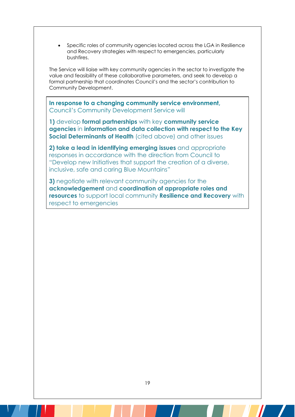Specific roles of community agencies located across the LGA in Resilience and Recovery strategies with respect to emergencies, particularly bushfires.

The Service will liaise with key community agencies in the sector to investigate the value and feasibility of these collaborative parameters, and seek to develop a formal partnership that coordinates Council's and the sector's contribution to Community Development.

**In response to a changing community service environment,**  Council's Community Development Service will

**1)** develop **formal partnerships** with key **community service agencies** in **information and data collection with respect to the Key Social Determinants of Health** (cited above) and other issues

**2) take a lead in identifying emerging issues** and appropriate responses in accordance with the direction from Council to "Develop new Initiatives that support the creation of a diverse, inclusive, safe and caring Blue Mountains"

**3)** negotiate with relevant community agencies for the **acknowledgement** and **coordination of appropriate roles and resources** to support local community **Resilience and Recovery** with respect to emergencies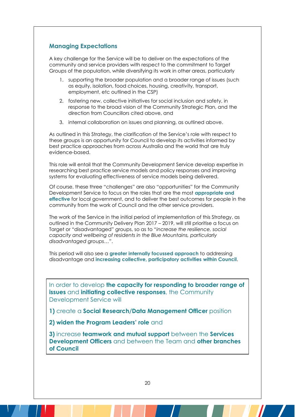#### **Managing Expectations**

A key challenge for the Service will be to deliver on the expectations of the community and service providers with respect to the commitment to Target Groups of the population, while diversifying its work in other areas, particularly

- 1. supporting the broader population and a broader range of issues (such as equity, isolation, food choices, housing, creativity, transport, employment, etc outlined in the CSP)
- 2. fostering new, collective initiatives for social inclusion and safety, in response to the broad vision of the Community Strategic Plan, and the direction from Councillors cited above, and
- 3. internal collaboration on issues and planning, as outlined above.

As outlined in this Strategy, the clarification of the Service's role with respect to these groups is an opportunity for Council to develop its activities informed by best practice approaches from across Australia and the world that are truly evidence-based.

This role will entail that the Community Development Service develop expertise in researching best practice service models and policy responses and improving systems for evaluating effectiveness of service models being delivered.

Of course, these three "challenges" are also "opportunities" for the Community Development Service to focus on the roles that are the most **appropriate and effective** for local government, and to deliver the best outcomes for people in the community from the work of Council and the other service providers.

The work of the Service in the initial period of implementation of this Strategy, as outlined in the Community Delivery Plan 2017 – 2019, will still prioritise a focus on Target or "disadvantaged" groups, so as to "*increase the resilience, social capacity and wellbeing of residents in the Blue Mountains, particularly disadvantaged groups…"*.

This period will also see a **greater internally focussed approach** to addressing disadvantage and **increasing collective, participatory activities within Council**.

In order to develop **the capacity for responding to broader range of issues** and **initiating collective responses**, the Community Development Service will

**1)** create a **Social Research/Data Management Officer** position

**2) widen the Program Leaders' role** and

**3)** increase **teamwork and mutual support** between the **Services Development Officers** and between the Team and **other branches of Council**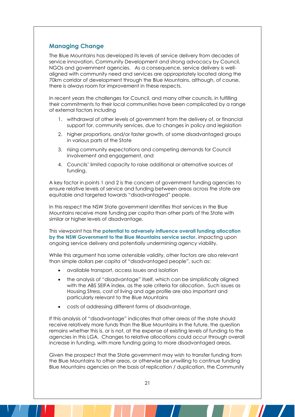#### **Managing Change**

The Blue Mountains has developed its levels of service delivery from decades of service innovation, Community Development and strong advocacy by Council, NGOs and government agencies. As a consequence, service delivery is wellaligned with community need and services are appropriately located along the 70km corridor of development through the Blue Mountains, although, of course, there is always room for improvement in these respects.

In recent years the challenges for Council, and many other councils, in fulfilling their commitments to their local communities have been complicated by a range of external factors including

- 1. withdrawal of other levels of government from the delivery of, or financial support for, community services, due to changes in policy and legislation
- 2. higher proportions, and/or faster growth, of some disadvantaged groups in various parts of the State
- 3. rising community expectations and competing demands for Council involvement and engagement, and
- 4. Councils' limited capacity to raise additional or alternative sources of funding.

A key factor in points 1 and 2 is the concern of government funding agencies to ensure relative levels of service and funding between areas across the state are equitable and targeted towards "disadvantaged" people.

In this respect the NSW State government identifies that services in the Blue Mountains receive more funding per capita than other parts of the State with similar or higher levels of disadvantage.

This viewpoint has the **potential to adversely influence overall funding allocation by the NSW Government to the Blue Mountains service sector**, impacting upon ongoing service delivery and potentially undermining agency viability.

While this argument has some ostensible validity, other factors are also relevant than simple dollars per capita of "disadvantaged people", such as:

- available transport, access issues and isolation
- the analysis of "disadvantage" itself, which can be simplistically aligned with the ABS SEIFA index, as the sole criteria for allocation. Such issues as Housing Stress, cost of living and age profile are also important and particularly relevant to the Blue Mountains
- costs of addressing different forms of disadvantage.

If this analysis of "disadvantage" indicates that other areas of the state should receive relatively more funds than the Blue Mountains in the future, the question remains whether this is, or is not, at the expense of existing levels of funding to the agencies in this LGA. Changes to relative allocations could occur through overall increase in funding, with more funding going to more disadvantaged areas.

Given the prospect that the State government may wish to transfer funding from the Blue Mountains to other areas, or otherwise be unwilling to continue funding Blue Mountains agencies on the basis of replication / duplication, the Community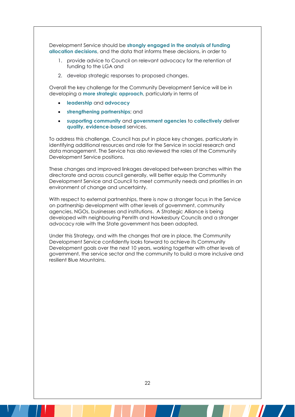Development Service should be **strongly engaged in the analysis of funding allocation decisions**, and the data that informs these decisions, in order to

- 1. provide advice to Council on relevant advocacy for the retention of funding to the LGA and
- 2. develop strategic responses to proposed changes.

Overall the key challenge for the Community Development Service will be in developing a **more strategic approach**, particularly in terms of

- **leadership** and **advocacy**
- **strengthening partnerships**; and
- **supporting community** and **government agencies** to **collectively** deliver **quality**, **evidence**-**based** services.

To address this challenge, Council has put in place key changes, particularly in identifying additional resources and role for the Service in social research and data management. The Service has also reviewed the roles of the Community Development Service positions.

These changes and improved linkages developed between branches within the directorate and across council generally, will better equip the Community Development Service and Council to meet community needs and priorities in an environment of change and uncertainty.

With respect to external partnerships, there is now a stronger focus in the Service on partnership development with other levels of government, community agencies, NGOs, businesses and institutions. A Strategic Alliance is being developed with neighbouring Penrith and Hawkesbury Councils and a stronger advocacy role with the State government has been adopted.

Under this Strategy, and with the changes that are in place, the Community Development Service confidently looks forward to achieve its Community Development goals over the next 10 years, working together with other levels of government, the service sector and the community to build a more inclusive and resilient Blue Mountains.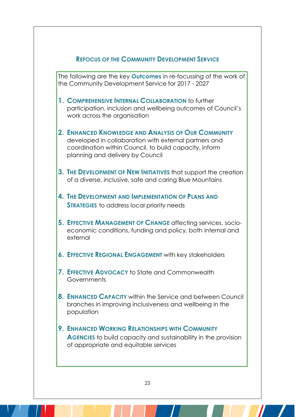## **REFOCUS OF THE COMMUNITY DEVELOPMENT SERVICE**

The following are the key **Outcomes** in re-focussing of the work of the Community Development Service for 2017 - 2027

- **1. COMPREHENSIVE INTERNAL COLLABORATION** to further participation, inclusion and wellbeing outcomes of Council's work across the organisation
- **2. ENHANCED KNOWLEDGE AND ANALYSIS OF OUR COMMUNITY**  developed in collaboration with external partners and coordination within Council, to build capacity, inform planning and delivery by Council
- **3. THE DEVELOPMENT OF NEW INITIATIVES** that support the creation of a diverse, inclusive, safe and caring Blue Mountains
- **4. THE DEVELOPMENT AND IMPLEMENTATION OF PLANS AND STRATEGIES** to address local priority needs
- **5. EFFECTIVE MANAGEMENT OF CHANGE** affecting services, socioeconomic conditions, funding and policy, both internal and external
- **6. EFFECTIVE REGIONAL ENGAGEMENT** with key stakeholders
- **7. EFFECTIVE ADVOCACY** to State and Commonwealth **Governments**
- **8. ENHANCED CAPACITY** within the Service and between Council branches in improving inclusiveness and wellbeing in the population
- **9. ENHANCED WORKING RELATIONSHIPS WITH COMMUNITY AGENCIES** to build capacity and sustainability in the provision of appropriate and equitable services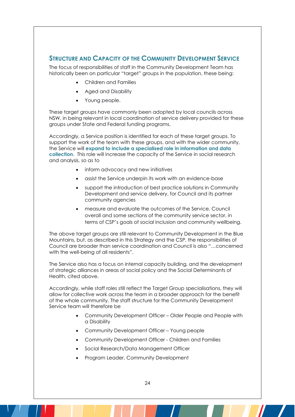## **STRUCTURE AND CAPACITY OF THE COMMUNITY DEVELOPMENT SERVICE**

The focus of responsibilities of staff in the Community Development Team has historically been on particular "target" groups in the population, these being:

- Children and Families
- Aged and Disability
- Young people.

These target groups have commonly been adopted by local councils across NSW, in being relevant in local coordination of service delivery provided for these groups under State and Federal funding programs.

Accordingly, a Service position is identified for each of these target groups. To support the work of the team with these groups, and with the wider community, the Service will **expand to include a specialised role in information and data collection**. This role will increase the capacity of the Service in social research and analysis, so as to

- inform advocacy and new initiatives
- assist the Service underpin its work with an evidence-base
- support the introduction of best practice solutions in Community Development and service delivery, for Council and its partner community agencies
- measure and evaluate the outcomes of the Service, Council overall and some sections of the community service sector, in terms of CSP's goals of social inclusion and community wellbeing.

The above target groups are still relevant to Community Development in the Blue Mountains, but, as described in this Strategy and the CSP, the responsibilities of Council are broader than service coordination and Council is also "…concerned with the well-being of all residents".

The Service also has a focus on internal capacity building, and the development of strategic alliances in areas of social policy and the Social Determinants of Health, cited above.

Accordingly, while staff roles still reflect the Target Group specialisations, they will allow for collective work across the team in a broader approach for the benefit of the whole community. The staff structure for the Community Development Service team will therefore be

- Community Development Officer Older People and People with a Disability
- Community Development Officer Young people
- Community Development Officer Children and Families
- Social Research/Data Management Officer
- Program Leader, Community Development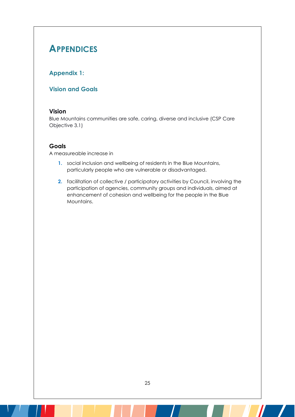# **APPENDICES**

## **Appendix 1:**

#### **Vision and Goals**

#### **Vision**

Blue Mountains communities are safe, caring, diverse and inclusive (CSP Care Objective 3.1)

#### **Goals**

A measureable increase in

- **1.** social inclusion and wellbeing of residents in the Blue Mountains, particularly people who are vulnerable or disadvantaged.
- **2.** facilitation of collective / participatory activities by Council, involving the participation of agencies, community groups and individuals, aimed at enhancement of cohesion and wellbeing for the people in the Blue Mountains.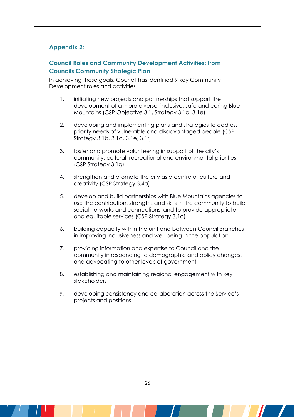## **Appendix 2:**

## **Council Roles and Community Development Activities: from Councils Community Strategic Plan**

In achieving these goals, Council has identified 9 key Community Development roles and activities

- 1. initiating new projects and partnerships that support the development of a more diverse, inclusive, safe and caring Blue Mountains (CSP Objective 3.1, Strategy 3.1d, 3.1e)
- 2. developing and implementing plans and strategies to address priority needs of vulnerable and disadvantaged people (CSP Strategy 3.1b, 3.1d, 3.1e, 3.1f)
- 3. foster and promote volunteering in support of the city's community, cultural, recreational and environmental priorities (CSP Strategy 3.1g)
- 4. strengthen and promote the city as a centre of culture and creativity (CSP Strategy 3.4a)
- 5. develop and build partnerships with Blue Mountains agencies to use the contribution, strengths and skills in the community to build social networks and connections, and to provide appropriate and equitable services (CSP Strategy 3.1c)
- 6. building capacity within the unit and between Council Branches in improving inclusiveness and well-being in the population
- 7. providing information and expertise to Council and the community in responding to demographic and policy changes, and advocating to other levels of government
- 8. establishing and maintaining regional engagement with key stakeholders
- 9. developing consistency and collaboration across the Service's projects and positions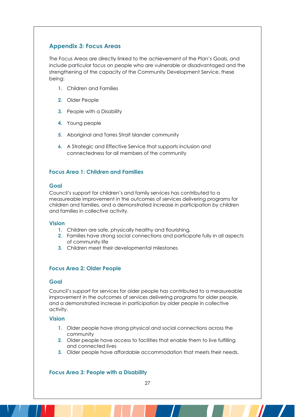#### **Appendix 3: Focus Areas**

The Focus Areas are directly linked to the achievement of the Plan's Goals, and include particular focus on people who are vulnerable or disadvantaged and the strengthening of the capacity of the Community Development Service, these being:

- **1.** Children and Families
- **2.** Older People
- **3.** People with a Disability
- **4.** Young people
- **5.** Aboriginal and Torres Strait Islander community
- **6.** A Strategic and Effective Service that supports inclusion and connectedness for all members of the community

#### **Focus Area 1: Children and Families**

#### **Goal**

Council's support for children's and family services has contributed to a measureable improvement in the outcomes of services delivering programs for children and families, and a demonstrated increase in participation by children and families in collective activity.

#### **Vision**

- **1.** Children are safe, physically healthy and flourishing.
- **2.** Families have strong social connections and participate fully in all aspects of community life
- **3.** Children meet their developmental milestones

#### **Focus Area 2: Older People**

#### **Goal**

Council's support for services for older people has contributed to a measureable improvement in the outcomes of services delivering programs for older people, and a demonstrated increase in participation by older people in collective activity.

#### **Vision**

- **1.** Older people have strong physical and social connections across the community
- **2.** Older people have access to facilities that enable them to live fulfilling and connected lives
- **3.** Older people have affordable accommodation that meets their needs.

#### **Focus Area 3: People with a Disability**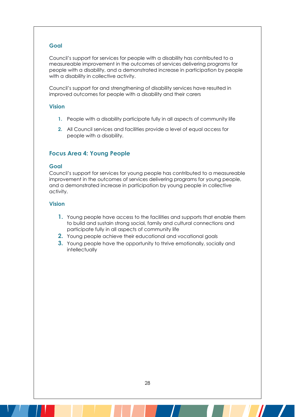#### **Goal**

Council's support for services for people with a disability has contributed to a measureable improvement in the outcomes of services delivering programs for people with a disability, and a demonstrated increase in participation by people with a disability in collective activity.

Council's support for and strengthening of disability services have resulted in improved outcomes for people with a disability and their carers

#### **Vision**

- **1.** People with a disability participate fully in all aspects of community life
- **2.** All Council services and facilities provide a level of equal access for people with a disability.

#### **Focus Area 4: Young People**

#### **Goal**

Council's support for services for young people has contributed to a measureable improvement in the outcomes of services delivering programs for young people, and a demonstrated increase in participation by young people in collective activity.

#### **Vision**

- **1.** Young people have access to the facilities and supports that enable them to build and sustain strong social, family and cultural connections and participate fully in all aspects of community life
- **2.** Young people achieve their educational and vocational goals
- **3.** Young people have the opportunity to thrive emotionally, socially and intellectually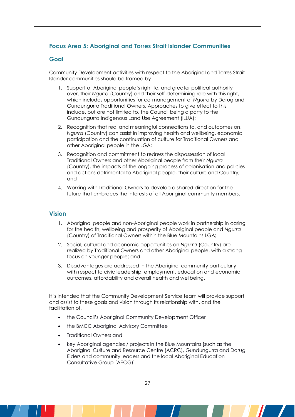## **Focus Area 5: Aboriginal and Torres Strait Islander Communities**

#### **Goal**

Community Development activities with respect to the Aboriginal and Torres Strait Islander communities should be framed by

- 1. Support of Aboriginal people's right to, and greater political authority over, their *Ngurra* (Country) and their self-determining role with this right, which includes opportunities for co-management of *Ngurra* by Darug and Gundungurra Traditional Owners. Approaches to give effect to this include, but are not limited to, the Council being a party to the Gundungurra Indigenous Land Use Agreement (ILUA);
- 2. Recognition that real and meaningful connections to, and outcomes on, *Ngurra* (Country) can assist in improving health and wellbeing, economic participation and the continuation of culture for Traditional Owners and other Aboriginal people in the LGA;
- 3. Recognition and commitment to redress the dispossession of local Traditional Owners and other Aboriginal people from their *Ngurra* (Country), the impacts of the ongoing process of colonisation and policies and actions detrimental to Aboriginal people, their culture and Country; and
- 4. Working with Traditional Owners to develop a shared direction for the future that embraces the interests of all Aboriginal community members.

#### **Vision**

- 1. Aboriginal people and non-Aboriginal people work in partnership in caring for the health, wellbeing and prosperity of Aboriginal people and *Ngurra* (Country) of Traditional Owners within the Blue Mountains LGA;
- 2. Social, cultural and economic opportunities on *Ngurra* (Country) are realized by Traditional Owners and other Aboriginal people, with a strong focus on younger people; and
- 3. Disadvantages are addressed in the Aboriginal community particularly with respect to civic leadership, employment, education and economic outcomes, affordability and overall health and wellbeing.

It is intended that the Community Development Service team will provide support and assist to these goals and vision through its relationship with, and the facilitation of,

- the Council's Aboriginal Community Development Officer
- the BMCC Aboriginal Advisory Committee
- Traditional Owners and
- key Aboriginal agencies / projects in the Blue Mountains [such as the Aboriginal Culture and Resource Centre (ACRC), Gundungurra and Darug Elders and community leaders and the local Aboriginal Education Consultative Group (AECG)].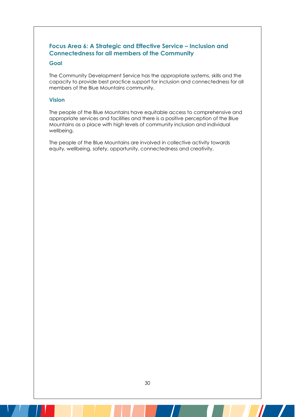## **Focus Area 6: A Strategic and Effective Service – Inclusion and Connectedness for all members of the Community**

#### **Goal**

The Community Development Service has the appropriate systems, skills and the capacity to provide best practice support for inclusion and connectedness for all members of the Blue Mountains community.

#### **Vision**

The people of the Blue Mountains have equitable access to comprehensive and appropriate services and facilities and there is a positive perception of the Blue Mountains as a place with high levels of community inclusion and individual wellbeing.

The people of the Blue Mountains are involved in collective activity towards equity, wellbeing, safety, opportunity, connectedness and creativity.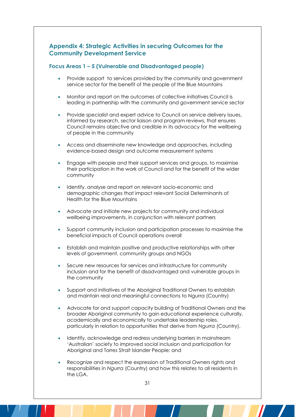#### **Appendix 4: Strategic Activities in securing Outcomes for the Community Development Service**

#### **Focus Areas 1 – 5 (Vulnerable and Disadvantaged people)**

- Provide support to services provided by the community and government service sector for the benefit of the people of the Blue Mountains
- Monitor and report on the outcomes of collective initiatives Council is leading in partnership with the community and government service sector
- Provide specialist and expert advice to Council on service delivery issues, informed by research, sector liaison and program reviews, that ensures Council remains objective and credible in its advocacy for the wellbeing of people in the community
- Access and disseminate new knowledge and approaches, including evidence-based design and outcome measurement systems
- Engage with people and their support services and groups, to maximise their participation in the work of Council and for the benefit of the wider community
- Identify, analyse and report on relevant socio-economic and demographic changes that impact relevant Social Determinants of Health for the Blue Mountains
- Advocate and initiate new projects for community and individual wellbeing improvements, in conjunction with relevant partners
- Support community inclusion and participation processes to maximise the beneficial impacts of Council operations overall
- Establish and maintain positive and productive relationships with other levels of government, community groups and NGOs
- Secure new resources for services and infrastructure for community inclusion and for the benefit of disadvantaged and vulnerable groups in the community
- Support and initiatives of the Aboriginal Traditional Owners to establish and maintain real and meaningful connections to Ngurra (Country)
- Advocate for and support capacity building of Traditional Owners and the broader Aboriginal community to gain educational experience culturally, academically and economically to undertake leadership roles, particularly in relation to opportunities that derive from *Ngurra* (Country).
- Identify, acknowledge and redress underlying barriers in mainstream 'Australian' society to improved social inclusion and participation for Aboriginal and Torres Strait Islander People; and
- Recognize and respect the expression of Traditional Owners rights and responsibilities in *Ngurra* (Country) and how this relates to all residents in the LGA.